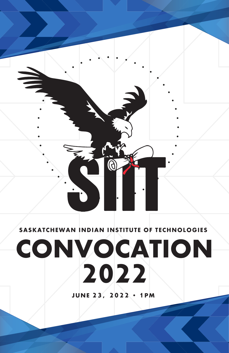

# **CONVOCATION 2022**

**JUNE 23, 2022 • 1 PM**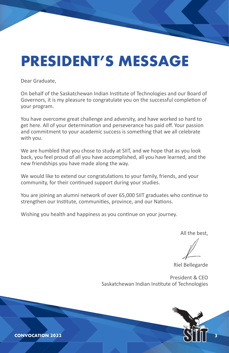# **PRESIDENT'S MESSAGE**

Dear Graduate,

On behalf of the Saskatchewan Indian Institute of Technologies and our Board of Governors, it is my pleasure to congratulate you on the successful completion of your program.

You have overcome great challenge and adversity, and have worked so hard to get here. All of your determination and perseverance has paid off. Your passion and commitment to your academic success is something that we all celebrate with you.

We are humbled that you chose to study at SIIT, and we hope that as you look back, you feel proud of all you have accomplished, all you have learned, and the new friendships you have made along the way.

We would like to extend our congratulations to your family, friends, and your community, for their continued support during your studies.

You are joining an alumni network of over 65,000 SIIT graduates who continue to strengthen our Institute, communities, province, and our Nations.

Wishing you health and happiness as you continue on your journey.

All the best,

Riel Bellegarde

President & CEO Saskatchewan Indian Institute of Technologies

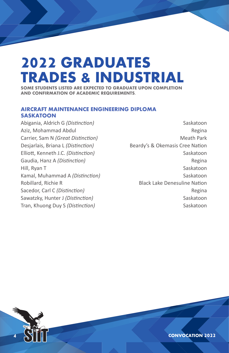# **2022 GRADUATES TRADES & INDUSTRIAL**

**SOME STUDENTS LISTED ARE EXPECTED TO GRADUATE UPON COMPLETION AND CONFIRMATION OF ACADEMIC REQUIREMENTS.**

#### **AIRCRAFT MAINTENANCE ENGINEERING DIPLOMA SASKATOON**

Abigania, Aldrich G *(Distinction)* Saskatoon Aziz, Mohammad Abdul Regina Carrier, Sam N *(Great Distinction)* Meath Park Desjarlais, Briana L *(Distinction)* Beardy's & Okemasis Cree Nation Elliott, Kenneth J.C. *(Distinction)* Saskatoon Gaudia, Hanz A *(Distinction)* Regina Hill, Ryan T Saskatoon Kamal, Muhammad A *(Distinction)* Saskatoon Robillard, Richie R Black Lake Denesuline Nation Sacedor, Carl C *(Distinction)* Regina Sawatzky, Hunter J *(Distinction)* Saskatoon Saskatoon Tran, Khuong Duy S (Distinction) **Saskatoon** Saskatoon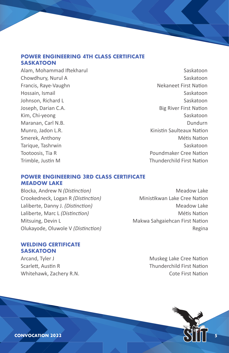#### **POWER ENGINEERING 4TH CLASS CERTIFICATE SASKATOON**

Alam, Mohammad Iftekharul Saskatoon Chowdhury, Nurul A Saskatoon Chowdhury, Nurul A Saskatoon Saskatoon Saskatoon Saskatoon Saskatoon Saskatoon Saskatoon Saskatoon Saskatoon Saskatoon Saskatoon Saskatoon Saskatoon Saskatoon Saskatoon Saskatoon Saskatoon Sask Francis, Raye-Vaughn Nekaneet First Nation Hossain, Ismail Saskatoon Johnson, Richard L Saskatoon Communication and Saskatoon Saskatoon Saskatoon Saskatoon Saskatoon Saskatoon Saskatoon Joseph, Darian C.A. **Big River First Nation** Kim, Chi-yeong Saskatoon Saskatoon Saskatoon Saskatoon Saskatoon Saskatoon Saskatoon Saskatoon Saskatoon Saskatoon Maranan, Carl N.B. **Dundurn** N.B. **Dundurn** N.B. **Dundurn** N.B. Dundurn Munro, Jadon L.R. Kinistin Saulteaux Nation Smerek, Anthony Metric Company of the Company of the Metric Metric National Metric National Metric National Metric National Metric National Metric National Metric National Metric National Metric National Metric National Me Tarique, Tashrwin Saskatoon Saskatoon Saskatoon Saskatoon Saskatoon Saskatoon Saskatoon Saskatoon Saskatoon Sa Tootoosis, Tia R<br>
Poundmaker Cree Nation

Trimble, Justin M Thunderchild First Nation

#### **POWER ENGINEERING 3RD CLASS CERTIFICATE MEADOW LAKE**

Blocka, Andrew N *(Distinction)* Meadow Lake Crookedneck, Logan R *(Distinction)* Ministikwan Lake Cree Nation Laliberte, Danny J. *(Distinction)* Meadow Lake Laliberte, Marc L *(Distinction)* and the control of the Métis Nation of the Métis Nation Mitsuing, Devin L Makwa Sahgaiehcan First Nation Olukayode, Oluwole V *(Distinction)* and the control of the Reginal Reginal Reginal Reginal Reginal Reginal Reginal Reginal Reginal Reginal Reginal Reginal Reginal Reginal Reginal Reginal Reginal Reginal Reginal Reginal Re

#### **WELDING CERTIFICATE SASKATOON**

Arcand, Tyler J Muskeg Lake Cree Nation

Scarlett, Austin R<br>
Thunderchild First Nation Whitehawk, Zachery R.N. COLE First Nation

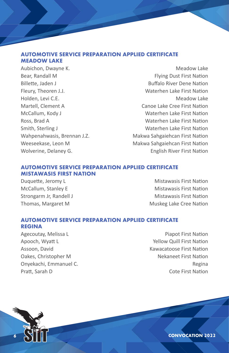#### **AUTOMOTIVE SERVICE PREPARATION APPLIED CERTIFICATE MEADOW LAKE**

Aubichon, Dwayne K. Meadow Lake Communication of the Meadow Lake Bear, Randall M **Flying Dust First Nation** Billette, Jaden J Buffalo River Dene Nation Fleury, Theoren J.J. Waterhen Lake First Nation Holden, Levi C.E. **Meadow Lake C.E.** Meadow Lake Martell, Clement A Canoe Lake Cree First Nation McCallum, Kody J Waterhen Lake First Nation Ross, Brad A Waterhen Lake First Nation Smith, Sterling J Waterhen Lake First Nation Wahpenahwasis, Brennan J.Z. Makwa Sahgaiehcan First Nation Weeseekase, Leon M Makwa Sahgaiehcan First Nation Wolverine, Delaney G. The Contract of the English River First Nation

#### **AUTOMOTIVE SERVICE PREPARATION APPLIED CERTIFICATE MISTAWASIS FIRST NATION**

Duquette, Jeromy L **Mistawasis First Nation** McCallum, Stanley E Mistawasis First Nation Strongarm Jr, Randell J Mistawasis First Nation Thomas, Margaret M Muskeg Lake Cree Nation

#### **AUTOMOTIVE SERVICE PREPARATION APPLIED CERTIFICATE REGINA**

Agecoutay, Melissa L **Piant Agecoutay, Melissa L** Piapot First Nation Apooch, Wyatt L Yellow Quill First Nation Assoon, David Kawacatoose First Nation Oakes, Christopher M Nekaneet First Nation Onyekachi, Emmanuel C. Regina Pratt, Sarah D Cote First Nation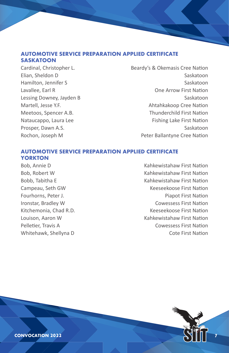#### **AUTOMOTIVE SERVICE PREPARATION APPLIED CERTIFICATE SASKATOON**

Cardinal, Christopher L. Beardy's & Okemasis Cree Nation Elian, Sheldon D Saskatoon Sheldon D Saskatoon Sheldon D Saskatoon Saskatoon Saskatoon Saskatoon Saskatoon Saskatoon Hamilton, Jennifer S Saskatoon Saskatoon Saskatoon Saskatoon Saskatoon Saskatoon Saskatoon Saskatoon Saskatoon Lavallee, Earl R<br>
Cone Arrow First Nation Lessing Downey, Jayden B Saskatoon Saskatoon Saskatoon Saskatoon Saskatoon Saskatoon Saskatoon Saskatoon Saskatoon Martell, Jesse Y.F. **Ahtahkakoop Cree Nation** Meetoos, Spencer A.B. Thunderchild First Nation Nataucappo, Laura Lee First Nation Controller Einst Nation Controller Einst Nation Prosper, Dawn A.S. Saskatoon and the set of the set of the set of the set of the set of the set of the set of the set of the set of the set of the set of the set of the set of the set of the set of the set of the set of th Rochon, Joseph M **Peter Ballantyne Cree Nation** 

#### **AUTOMOTIVE SERVICE PREPARATION APPLIED CERTIFICATE YORKTON**

Bob, Annie D Kahkewistahaw First Nation Bob, Robert W Kahkewistahaw First Nation Bobb, Tabitha E The Communisties of the Kahkewistahaw First Nation Campeau, Seth GW Keeseekoose First Nation Fourhorns, Peter J. Piapot First Nation Ironstar, Bradley W Cowessess First Nation Kitchemonia, Chad R.D. Keeseekoose First Nation Louison, Aaron W Kahkewistahaw First Nation Pelletier, Travis A Cowessess First Nation Whitehawk, Shellyna D Cote First Nation



**CONVOCATION 2022 7**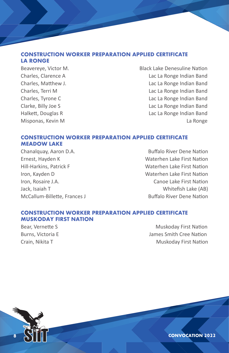#### **CONSTRUCTION WORKER PREPARATION APPLIED CERTIFICATE LA RONGE**

Beavereye, Victor M. **Black Lake Denesuline Nation** Charles, Clarence A Lac La Ronge Indian Band Charles, Matthew J. Lac La Ronge Indian Band Charles, Terri M Lac La Ronge Indian Band Charles, Tyrone C Lac La Ronge Indian Band Clarke, Billy Joe S Lac La Ronge Indian Band Halkett, Douglas R Lac La Ronge Indian Band Misponas, Kevin M La Ronge

#### **CONSTRUCTION WORKER PREPARATION APPLIED CERTIFICATE MEADOW LAKE**

Chanalquay, Aaron D.A. Buffalo River Dene Nation Ernest, Hayden K Waterhen Lake First Nation Hill-Harkins, Patrick F Waterhen Lake First Nation Iron, Kayden D Waterhen Lake First Nation Iron, Rosaire J.A. Canoe Lake First Nation Jack, Isaiah T Whitefish Lake (AB) McCallum-Billette, Frances J Buffalo River Dene Nation

#### **CONSTRUCTION WORKER PREPARATION APPLIED CERTIFICATE MUSKODAY FIRST NATION**

Bear, Vernette S Muskoday First Nation Burns, Victoria E **All Equation** Smith Cree Nation Crain, Nikita T **Muskoday First Nation** Muskoday First Nation

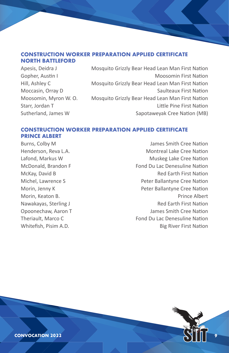#### **CONSTRUCTION WORKER PREPARATION APPLIED CERTIFICATE NORTH BATTLEFORD**

Apesis, Deidra J Mosquito Grizzly Bear Head Lean Man First Nation Gopher, Austin I Moosomin First Nation Hill, Ashley C Mosquito Grizzly Bear Head Lean Man First Nation Moccasin, Orray D Saulteaux First Nation Moosomin, Myron W. O. Mosquito Grizzly Bear Head Lean Man First Nation Starr, Jordan T **Starr, 1998** Starr, 1998 The Eirst Nation Sutherland, James W Sapotaweyak Cree Nation (MB)

#### **CONSTRUCTION WORKER PREPARATION APPLIED CERTIFICATE PRINCE ALBERT**

Burns, Colby M James Smith Cree Nation Henderson, Reva L.A. Manual Lake Cree Nation and Montreal Lake Cree Nation Lafond, Markus W Muskeg Lake Cree Nation McDonald, Brandon F Fond Du Lac Denesuline Nation McKay, David B **Red Earth First Nation** Michel, Lawrence S<br>
Peter Ballantyne Cree Nation Morin, Jenny K **Peter Ballantyne Cree Nation** Morin, Keaton B. **Prince Albert Prince Albert** Nawakayas, Sterling J **Red Earth First Nation** Opoonechaw, Aaron T The Communication of the United Smith Cree Nation Theriault, Marco C **Fond Du Lac Denesuline Nation** Whitefish, Pisim A.D. **Big River First Nation** 

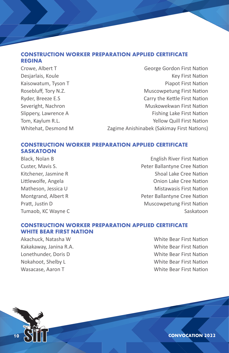#### **CONSTRUCTION WORKER PREPARATION APPLIED CERTIFICATE REGINA**

Crowe, Albert T George Gordon First Nation Desiarlais, Koule **Key First Nation** Kaisowatum, Tyson T<br>
Piapot First Nation Rosebluff, Tory N.Z. The Contract of the Muscowpetung First Nation Ryder, Breeze E.S **Carry the Kettle First Nation** Severight, Nachron Muskowekwan First Nation Slippery, Lawrence A **Fishing Lake First Nation** Tom, Kaylum R.L. The Communication of the Yellow Quill First Nation Whitehat, Desmond M Zagime Anishinabek (Sakimay First Nations)

#### **CONSTRUCTION WORKER PREPARATION APPLIED CERTIFICATE SASKATOON**

Black, Nolan B English River First Nation Custer, Mavis S. Peter Ballantyne Cree Nation Kitchener, Jasmine R Shoal Lake Cree Nation Littlewolfe, Angela **Disk and Accord Contract Cree Nation** Onion Lake Cree Nation Matheson, Jessica U Mistawasis First Nation Montgrand, Albert R **Peter Ballantyne Cree Nation** Pratt, Justin D **Muscowpetung First Nation** Tumaob, KC Wayne C **Saskatoon** 

#### **CONSTRUCTION WORKER PREPARATION APPLIED CERTIFICATE WHITE BEAR FIRST NATION**

Akachuck, Natasha W White Bear First Nation

Kakakaway, Janina R.A. White Bear First Nation Lonethunder, Doris D White Bear First Nation Nokahoot, Shelby L White Bear First Nation Wasacase, Aaron T The Communication of the White Bear First Nation

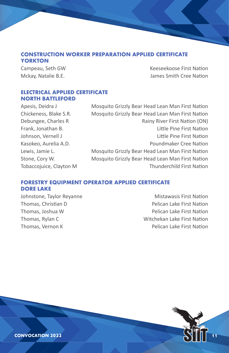#### **CONSTRUCTION WORKER PREPARATION APPLIED CERTIFICATE YORKTON**

Campeau, Seth GW Keeseekoose First Nation Mckay, Natalie B.E. James Smith Cree Nation

#### **ELECTRICAL APPLIED CERTIFICATE NORTH BATTLEFORD**

Apesis, Deidra J Mosquito Grizzly Bear Head Lean Man First Nation Chickeness, Blake S.R. Mosquito Grizzly Bear Head Lean Man First Nation Debungee, Charles R **Raing Community** Rainy River First Nation (ON) Frank, Jonathan B. Little Pine First Nation Johnson, Vernell J Little Pine First Nation Kasokeo, Aurelia A.D. Poundmaker Cree Nation Lewis, Jamie L. Mosquito Grizzly Bear Head Lean Man First Nation Stone, Cory W. Mosquito Grizzly Bear Head Lean Man First Nation Tobaccojuice, Clayton M Thunderchild First Nation

#### **FORESTRY EQUIPMENT OPERATOR APPLIED CERTIFICATE DORE LAKE**

Johnstone, Taylor Reyanne Mistawasis First Nation Thomas, Christian D Pelican Lake First Nation Thomas, Joshua W Pelican Lake First Nation Thomas, Rylan C Witchekan Lake First Nation Thomas, Vernon K **Pelican Lake First Nation** 

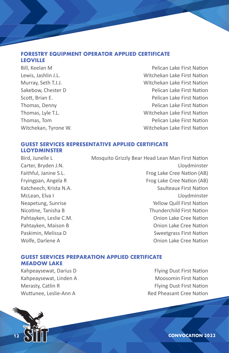#### **FORESTRY EQUIPMENT OPERATOR APPLIED CERTIFICATE LEOVILLE**

Bill, Keelan M Pelican Lake First Nation Lewis, Jashlin J.L. Witchekan Lake First Nation Murray, Seth T.J.J. Witchekan Lake First Nation Sakebow, Chester D **Pelican Lake First Nation** Scott, Brian E. Pelican Lake First Nation Thomas, Denny **Pelican Lake First Nation** Thomas, Lyle T.L. Witchekan Lake First Nation Thomas, Tom Pelican Lake First Nation Witchekan, Tyrone W. Witchekan Lake First Nation

#### **GUEST SERVICES REPRESENTATIVE APPLIED CERTIFICATE LLOYDMINSTER**

Bird, Junelle L Mosquito Grizzly Bear Head Lean Man First Nation Carter, Bryden J.N. **Later and Carter** and Carter, Bryden J.N. Faithful, Janine S.L. **From Account Containers** Frog Lake Cree Nation (AB) Fryingpan, Angela R Frog Lake Cree Nation (AB) Katcheech, Krista N.A. Saulteaux First Nation McLean, Elva I Lloydminster Neapetung, Sunrise The Yellow Quill First Nation Nicotine, Tanisha B Thunderchild First Nation Pahtayken, Leslie C.M. Onion Lake Cree Nation Pahtayken, Maison B Onion Lake Cree Nation Paskimin, Melissa D Sweetgrass First Nation Wolfe, Darlene A Onion Lake Cree Nation

#### **GUEST SERVICES PREPARATION APPLIED CERTIFICATE MEADOW LAKE**

Kahpeaysewat, Darius D Flying Dust First Nation Kahpeaysewat, Linden A Moosomin First Nation Merasty, Catlin R Flying Dust First Nation Wuttunee, Leslie-Ann A and Red Pheasant Cree Nation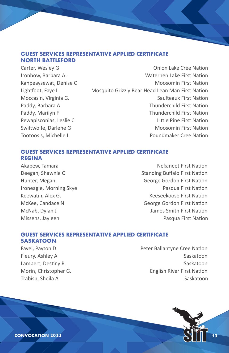#### **GUEST SERVICES REPRESENTATIVE APPLIED CERTIFICATE NORTH BATTLEFORD**

Carter, Wesley G Carter, Wesley G Carter, Wesley G Ironbow, Barbara A. Waterhen Lake First Nation Kahpeaysewat, Denise C Moosomin First Nation Lightfoot, Faye L Mosquito Grizzly Bear Head Lean Man First Nation Moccasin, Virginia G. Saulteaux First Nation Paddy, Barbara A Thunderchild First Nation Paddy, Marilyn F Thunderchild First Nation Pewapisconias, Leslie C Little Pine First Nation Swiftwolfe, Darlene G Moosomin First Nation Tootoosis, Michelle L Poundmaker Cree Nation

#### **GUEST SERVICES REPRESENTATIVE APPLIED CERTIFICATE REGINA**

Akapew, Tamara Nekaneet First Nation Deegan, Shawnie C Standing Buffalo First Nation Hunter, Megan George Gordon First Nation Ironeagle, Morning Skye **Pasqua First Nation** Pasqua First Nation Keewatin, Alex G. Keeseekoose First Nation McKee, Candace N George Gordon First Nation McNab, Dylan J James Smith First Nation Missens, Jayleen **Pasqua First Nation** Pasqua First Nation

#### **GUEST SERVICES REPRESENTATIVE APPLIED CERTIFICATE SASKATOON**

Favel, Payton D **Peter Ballantyne Cree Nation** Fleury, Ashley A Saskatoon and the Saskatoon and the Saskatoon state of the Saskatoon state of the Saskatoon state of the Saskatoon state of the Saskatoon state of the Saskatoon state of the Saskatoon state of the Saskatoo Lambert, Destiny R Saskatoon Communication and the Saskatoon Saskatoon Saskatoon Morin, Christopher G. English River First Nation Trabish, Sheila A Saskatoon as a sheet as a sheet as sheet as sheet as sheet as sheet as sheet as sheet as she

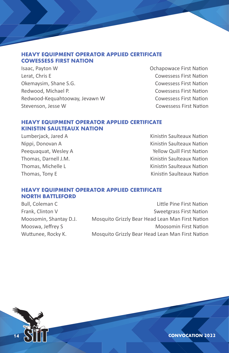#### **HEAVY EQUIPMENT OPERATOR APPLIED CERTIFICATE COWESSESS FIRST NATION**

Isaac, Payton W **Isaac**, Payton W **Ochapowace First Nation** Lerat, Chris E Cowessess First Nation Okemaysim, Shane S.G. Cowessess First Nation Redwood, Michael P. Cowessess First Nation Redwood-Kequahtooway, Jevawn W Cowessess First Nation Stevenson, Jesse W Cowessess First Nation

#### **HEAVY EQUIPMENT OPERATOR APPLIED CERTIFICATE KINISTIN SAULTEAUX NATION**

Lumberjack, Jared A Kinistin Saulteaux Nation Nippi, Donovan A Kinistin Saulteaux Nation Peequaquat, Wesley A Yellow Quill First Nation Thomas, Darnell J.M. Kinistin Saulteaux Nation Thomas, Michelle L Kinistin Saulteaux Nation Thomas, Tony E Kinistin Saulteaux Nation

#### **HEAVY EQUIPMENT OPERATOR APPLIED CERTIFICATE NORTH BATTLEFORD**

Bull, Coleman C Little Pine First Nation Frank, Clinton V **Sweetgrass First Nation** Moosomin, Shantay D.J. Mosquito Grizzly Bear Head Lean Man First Nation Mooswa, Jeffrey S **Mooswa, Jeffrey S** Moosomin First Nation Wuttunee, Rocky K. Mosquito Grizzly Bear Head Lean Man First Nation

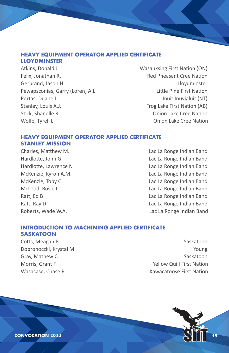#### **HEAVY EQUIPMENT OPERATOR APPLIED CERTIFICATE LLOYDMINSTER**

Atkins, Donald J **Wasauksing First Nation (ON)** Felix, Jonathan R. **Red Pheasant Cree Nation** Gerbrand, Jason H Love H Love H Lloydminster Pewapsconias, Garry (Loren) A.L Little Pine First Nation Portas, Duane J **Institute Library Contract Contract Contract Contract Contract Contract Contract Contract Contract Contract Contract Contract Contract Contract Contract Contract Contract Contract Contract Contract Contrac** Stanley, Louis A.J. **Example 2** Controller and the Frog Lake First Nation (AB) Stick, Shanelle R **Calculate Cree Nation** Chief Cree Nation

Wolfe, Tyrell L Onion Lake Cree Nation

#### **HEAVY EQUIPMENT OPERATOR APPLIED CERTIFICATE STANLEY MISSION**

Charles, Matthew M. Lac La Ronge Indian Band Hardlotte, John G Lac La Ronge Indian Band Hardlotte, Lawrence N Lac La Ronge Indian Band McKenzie, Kyron A.M. Lac La Ronge Indian Band McKenzie, Toby C Lac La Ronge Indian Band McLeod, Rosie L<br>
Lac La Ronge Indian Band Ratt, Ed B Lac La Ronge Indian Band Ratt, Ray D **Rattle Rattle Communist Communist Communist Communist Communist Communist Communist Communist Communist Communist Communist Communist Communist Communist Communist Communist Communist Communist Communist Commu** Roberts, Wade W.A. **Lac La Ronge Indian Band** 

#### **INTRODUCTION TO MACHINING APPLIED CERTIFICATE SASKATOON**

Cotts, Meagan P. Saskatoon Cotts, Meagan P. Saskatoon Saskatoon Saskatoon Saskatoon Saskatoon Saskatoon Saskatoon Dobrohoczki, Krystal M Young Gray, Mathew C **Saskatoon** Saskatoon C Saskatoon C Saskatoon Saskatoon Saskatoon Saskatoon Saskatoon Saskatoon Morris, Grant F Testimonic Control of the Yellow Quill First Nation Wasacase, Chase R Kawacatoose First Nation

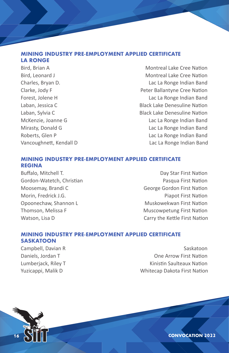#### **MINING INDUSTRY PRE-EMPLOYMENT APPLIED CERTIFICATE LA RONGE**

Bird, Brian A **Montreal Lake Cree Nation** Bird, Leonard J **Montreal Lake Cree Nation** Charles, Bryan D. Lac La Ronge Indian Band Clarke, Jody F Peter Ballantyne Cree Nation Forest, Jolene H Lac La Ronge Indian Band Laban, Jessica C Black Lake Denesuline Nation Laban, Sylvia C<br>
Black Lake Denesuline Nation McKenzie, Joanne G Lac La Ronge Indian Band Mirasty, Donald G **Lack Lack Lack Lac La Ronge Indian Band** Roberts, Glen P and Communication Communication Communication Communication Communication Communication Communication Communication Communication Communication Communication Communication Communication Communication Commun Vancoughnett, Kendall D Lac La Ronge Indian Band

#### **MINING INDUSTRY PRE-EMPLOYMENT APPLIED CERTIFICATE REGINA**

Buffalo, Mitchell T. **Day Star First Nation** Gordon-Watetch, Christian **Pasqua First Nation** Pasqua First Nation Moosemay, Brandi C George Gordon First Nation Morin, Fredrick J.G. Piapot First Nation Opoonechaw, Shannon L Muskowekwan First Nation Thomson, Melissa F **Muscowpetung First Nation** Watson, Lisa D Carry the Kettle First Nation

#### **MINING INDUSTRY PRE-EMPLOYMENT APPLIED CERTIFICATE SASKATOON**

Campbell, Davian R Saskatoon Campbell, Davian R Daniels, Jordan T One Arrow First Nation Lumberjack, Riley T **Kinistin Saulteaux Nation** Yuzicappi, Malik D Whitecap Dakota First Nation

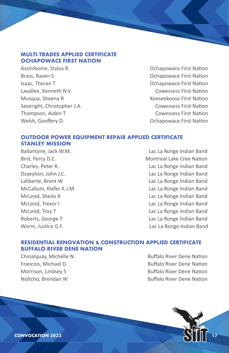#### **MULTI-TRADES APPLIED CERTIFICATE OCHAPOWACE FIRST NATION**

Assiniboine, Stylus R. Ochapowace First Nation Brass, Raven S Ochapowace First Nation Isaac, Theran T Ochapowace First Nation Lavallee, Kenneth N.V. Cowessess First Nation Musqua, Sheena R Keeseekoose First Nation Severight, Christopher J.A. Cowessess First Nation Thompson, Aiden T Cowessess First Nation Welsh, Geoffery D. Ochapowace First Nation

#### **OUTDOOR POWER EQUIPMENT REPAIR APPLIED CERTIFICATE STANLEY MISSION**

Ballantyne, Jack W.M. Lac La Ronge Indian Band Bird, Percy D.E. **Montreal Lake Cree Nation** Charles, Peter R. Lac La Ronge Indian Band Dzyeylion, John J.C. **Lack Lack Lack Lack La Ronge Indian Band** Laliberte, Brent W Lac La Ronge Indian Band McCallum, Kiefer K.J.M. Lac La Ronge Indian Band McLeod, Sheila A Lac La Ronge Indian Band McLeod, Trevor I Lac La Ronge Indian Band McLeod, Troy T Lac La Ronge Indian Band Roberts, George T and Lac La Ronge Indian Band Worm, Justice G.F. Lac La Ronge Indian Band

#### **RESIDENTIAL RENOVATION & CONSTRUCTION APPLIED CERTIFICATE BUFFALO RIVER DENE NATION**

Chinalquay, Michelle N. **Buffalo River Dene Nation** Francois, Michael D. Buffalo River Dene Nation Morrison, Lindsey S **Buffalo River Dene Nation** Noltcho, Brendan W Buffalo River Dene Nation

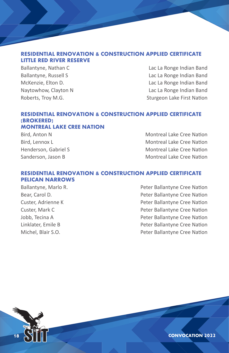#### **RESIDENTIAL RENOVATION & CONSTRUCTION APPLIED CERTIFICATE LITTLE RED RIVER RESERVE**

Ballantyne, Nathan C Lac La Ronge Indian Band Ballantyne, Russell S<br>
Lac La Ronge Indian Band McKenzie, Elton D. Lac La Ronge Indian Band Naytowhow, Clayton N Lac La Ronge Indian Band Roberts, Troy M.G. Sturgeon Lake First Nation

#### **RESIDENTIAL RENOVATION & CONSTRUCTION APPLIED CERTIFICATE (BROKERED) MONTREAL LAKE CREE NATION**

Bird, Anton N Montreal Lake Cree Nation Bird, Lennox L **Montreal Lake Cree Nation** Henderson, Gabriel S<br>
Montreal Lake Cree Nation Sanderson, Jason B Montreal Lake Cree Nation

#### **RESIDENTIAL RENOVATION & CONSTRUCTION APPLIED CERTIFICATE PELICAN NARROWS**

Ballantyne, Marlo R. **Peter Ballantyne Cree Nation** Bear, Carol D. Peter Ballantyne Cree Nation Custer, Adrienne K **Peter Ballantyne Cree Nation** Custer, Mark C Peter Ballantyne Cree Nation Jobb, Tecina A Peter Ballantyne Cree Nation Linklater, Emile B Peter Ballantyne Cree Nation Michel, Blair S.O. Peter Ballantyne Cree Nation

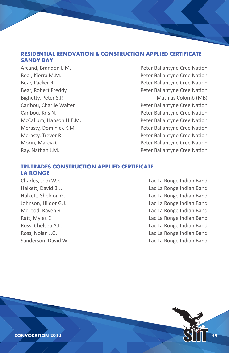#### **RESIDENTIAL RENOVATION & CONSTRUCTION APPLIED CERTIFICATE SANDY BAY**

Arcand, Brandon L.M. Peter Ballantyne Cree Nation Bear, Kierra M.M. Peter Ballantyne Cree Nation Bear, Packer R Peter Ballantyne Cree Nation Bear, Robert Freddy **Peter Ballantyne Cree Nation** Bighetty, Peter S.P. Mathias Colomb (MB) Caribou, Charlie Walter Peter Ballantyne Cree Nation Caribou, Kris N. Peter Ballantyne Cree Nation McCallum, Hanson H.E.M. Philosophy Peter Ballantyne Cree Nation Merasty, Dominick K.M. Peter Ballantyne Cree Nation Merasty, Trevor R Peter Ballantyne Cree Nation Morin, Marcia C Peter Ballantyne Cree Nation Ray, Nathan J.M. Peter Ballantyne Cree Nation

#### **TRI-TRADES CONSTRUCTION APPLIED CERTIFICATE LA RONGE**

Charles, Jodi W.K. Lac La Ronge Indian Band Halkett, David B.J. Lac La Ronge Indian Band Halkett, Sheldon G. Lac La Ronge Indian Band Johnson, Hildor G.J. Lac La Ronge Indian Band McLeod, Raven R Lac La Ronge Indian Band Ratt, Myles E Lac La Ronge Indian Band Ross, Chelsea A.L. **Lac La Ronge Indian Band** Ross, Nolan J.G. Lac La Ronge Indian Band Sanderson, David W **Lack Lack Andrew Lack La Ronge Indian Band** 

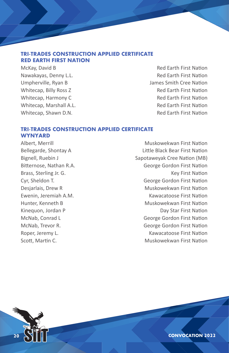#### **TRI-TRADES CONSTRUCTION APPLIED CERTIFICATE RED EARTH FIRST NATION**

McKay, David B **Red Earth First Nation** 

Nawakayas, Denny L.L. **Red Earth First Nation** Umpherville, Ryan B James Smith Cree Nation Whitecap, Billy Ross Z **Red Earth First Nation** Whitecap, Harmony C **Red Earth First Nation** Whitecap, Marshall A.L. Red Earth First Nation Whitecap, Shawn D.N. **Red Earth First Nation** 

#### **TRI-TRADES CONSTRUCTION APPLIED CERTIFICATE WYNYARD**

Albert, Merrill Muskowekwan First Nation Bellegarde, Shontay A Little Black Bear First Nation Bignell, Ruebin J **Sapotaweyak Cree Nation (MB)** Sapotaweyak Cree Nation (MB) Bitternose, Nathan R.A. George Gordon First Nation Brass, Sterling Jr. G. Key First Nation and Stevens and Stevens and Stevens and Key First Nation Cyr, Sheldon T. George Gordon First Nation Desjarlais, Drew R Muskowekwan First Nation Ewenin, Jeremiah A.M. Kawacatoose First Nation Hunter, Kenneth B Muskowekwan First Nation Kinequon, Jordan P **Day Star First Nation** McNab, Conrad L George Gordon First Nation McNab, Trevor R. George Gordon First Nation Roper, Jeremy L. Kawacatoose First Nation Scott, Martin C. **Muskowekwan First Nation** 

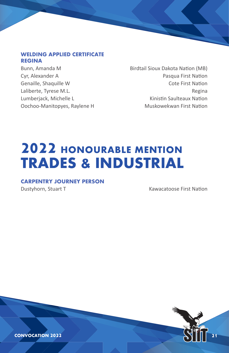#### **WELDING APPLIED CERTIFICATE REGINA**

Bunn, Amanda M Birdtail Sioux Dakota Nation (MB)

Cyr, Alexander A **Pasqua First Nation** Genaille, Shaquille W Cote First Nation Laliberte, Tyrese M.L. **Regional Community** Control of the Reginal Reginal Regional Regional Regional Regional Regional Regional Regional Regional Regional Regional Regional Regional Regional Regional Regional Regional Reg Lumberjack, Michelle L Kinistin Saulteaux Nation Oochoo-Manitopyes, Raylene H Muskowekwan First Nation

### **2022 HONOURABLE MENTION TRADES & INDUSTRIAL**

**CARPENTRY JOURNEY PERSON**

Dustyhorn, Stuart T The Communisties of the Kawacatoose First Nation



**CONVOCATION 2022 21**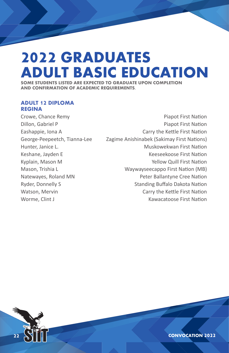# **2022 GRADUATES ADULT BASIC EDUCATION**

**SOME STUDENTS LISTED ARE EXPECTED TO GRADUATE UPON COMPLETION AND CONFIRMATION OF ACADEMIC REQUIREMENTS.**

#### **ADULT 12 DIPLOMA REGINA**

Crowe, Chance Remy **Piapot First Nation** Dillon, Gabriel P **Piapot First Nation** Eashappie, Iona A Carry the Kettle First Nation George-Peepeetch, Tianna-Lee Zagime Anishinabek (Sakimay First Nations) Hunter, Janice L. **Muskowekwan First Nation** Keshane, Jayden E Keeseekoose First Nation Kyplain, Mason M Yellow Quill First Nation Mason, Trishia L Waywayseecappo First Nation (MB) Natewayes, Roland MN Peter Ballantyne Cree Nation Ryder, Donnelly S<br>
Standing Buffalo Dakota Nation Watson, Mervin Carry the Kettle First Nation Worme, Clint J **Kawacatoose First Nation** 

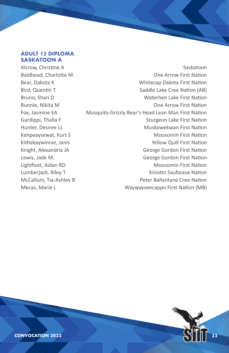#### **ADULT 12 DIPLOMA SASKATOON A**

Alcrow, Christine A Saskatoon and Alcrow Saskatoon and Saskatoon and Saskatoon and Saskatoon and Saskatoon and Saskatoon and Saskatoon and Saskatoon and Saskatoon and Saskatoon and Saskatoon and Saskatoon and Saskatoon and Baldhead, Charlotte M Communication Communication Charlotte M Communication Charlotte M Bear, Dakota K Whitecap Dakota First Nation Bird, Quentin T The Saddle Lake Cree Nation (AB) Bruno, Shari D Waterhen Lake First Nation Bunnie, Nikita M Communication Communication Communication Communication Communication Communication Fox, Jasmine EA Mosquito-Grizzly Bear's Head Lean Man First Nation Gardippi, Thalia F Sturgeon Lake First Nation Hunter, Desiree LL Muskowekwan First Nation Kahpeaysewat, Kurt S<br>
Moosomin First Nation Kittiekaywinnie, Janis Yellow Quill First Nation Knight, Alexandria JA George Gordon First Nation Lewis, Jade M. George Gordon First Nation Lightfoot, Aidan RD Moosomin First Nation Lumberjack, Riley T **Kinistin Saulteaux Nation** McCallum, Tia-Ashley B Peter Ballantyne Cree Nation Mecas, Marie L Waywayseecappo First Nation (MB)



**CONVOCATION 2022 23**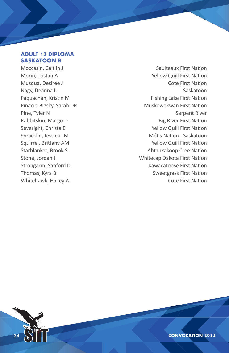#### **ADULT 12 DIPLOMA SASKATOON B**

Moccasin, Caitlin J Saulteaux First Nation Morin, Tristan A **Yellow Quill First Nation** Musqua, Desiree J Cote First Nation Nagy, Deanna L. Saskatoon and the same state of the same state of the Saskatoon state of the Saskatoon state of the Saskatoon state of the Saskatoon state of the Saskatoon state of the Saskatoon state of the Saskatoon stat Paquachan, Kristin M Fishing Lake First Nation Pinacie-Bigsky, Sarah DR Muskowekwan First Nation Pine, Tyler N Serpent River Rabbitskin, Margo D Big River First Nation Severight, Christa E Yellow Quill First Nation Spracklin, Jessica LM **Metis Nation - Saskatoon** Squirrel, Brittany AM The Common Section of Mellow Quill First Nation Starblanket, Brook S. Ahtahkakoop Cree Nation Stone, Jordan J Whitecap Dakota First Nation Strongarm, Sanford D **Kawacatoose First Nation** Thomas, Kyra B Sweetgrass First Nation Whitehawk, Hailey A. Cote First Nation

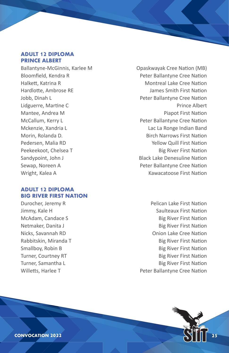#### **ADULT 12 DIPLOMA PRINCE ALBERT**

Ballantyne-McGinnis, Karlee M **Charlace Contract Contract Contract** Opaskwayak Cree Nation (MB)

#### **ADULT 12 DIPLOMA BIG RIVER FIRST NATION**

Bloomfield, Kendra R Peter Ballantyne Cree Nation Halkett, Katrina R Montreal Lake Cree Nation Hardlotte, Ambrose RE **All and Solution** James Smith First Nation Jobb, Dinah L Peter Ballantyne Cree Nation Lidguerre, Martine C Prince Albert Mantee, Andrea M Piapot First Nation McCallum, Kerry L<br>
Peter Ballantyne Cree Nation Mckenzie, Xandria L<br>
Lac La Ronge Indian Band Morin, Rolanda D. Birch Narrows First Nation Pedersen, Malia RD Yellow Quill First Nation Peekeekoot, Chelsea T Big River First Nation Sandypoint, John J Sandypoint, John J Sewap, Noreen A Peter Ballantyne Cree Nation Wright, Kalea A **Kawacatoose First Nation** 

Durocher, Jeremy R Pelican Lake First Nation Jimmy, Kale H Saulteaux First Nation McAdam, Candace S Big River First Nation Netmaker, Danita J Big River First Nation Nicks, Savannah RD Onion Lake Cree Nation Rabbitskin, Miranda T Big River First Nation Smallboy, Robin B Big River First Nation Turner, Courtney RT **Big River First Nation** Turner, Samantha L<br>
Big River First Nation Willetts, Harlee T **Peter Ballantyne Cree Nation** 

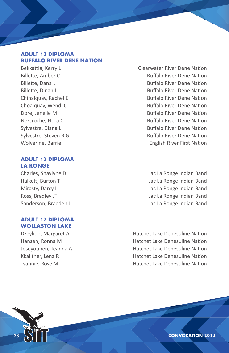#### **ADULT 12 DIPLOMA BUFFALO RIVER DENE NATION**

#### **ADULT 12 DIPLOMA LA RONGE**

#### **ADULT 12 DIPLOMA WOLLASTON LAKE**

Bekkattla, Kerry L<br>
Clearwater River Dene Nation Billette, Amber C<br>
Buffalo River Dene Nation Billette, Dana L<br>
Buffalo River Dene Nation Billette, Dinah L Buffalo River Dene Nation Chinalquay, Rachel E **Buffalo River Dene Nation** Choalquay, Wendi C **Buffalo River Dene Nation** Dore, Jenelle M Buffalo River Dene Nation Nezcroche, Nora C<br>
Buffalo River Dene Nation Sylvestre, Diana L Buffalo River Dene Nation Sylvestre, Steven R.G. The Steven R.G. And Steven Buffalo River Dene Nation Wolverine, Barrie English River First Nation

Charles, Shaylyne D Lac La Ronge Indian Band Halkett, Burton T Lac La Ronge Indian Band Mirasty, Darcy I Lac La Ronge Indian Band Ross, Bradley JT **Ross**, Bradley JT **Ross**, Bradley JT Sanderson, Braeden J Lac La Ronge Indian Band

Dzeylion, Margaret A Hatchet Lake Denesuline Nation Hansen, Ronna M Hatchet Lake Denesuline Nation Joseyounen, Teanna A Hatchet Lake Denesuline Nation Kkailther, Lena R **Kailther, Lena R** Hatchet Lake Denesuline Nation Tsannie, Rose M Hatchet Lake Denesuline Nation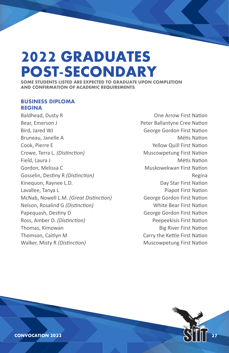## **2022 GRADUATES POST-SECONDARY**

**SOME STUDENTS LISTED ARE EXPECTED TO GRADUATE UPON COMPLETION AND CONFIRMATION OF ACADEMIC REQUIREMENTS.**

#### **BUSINESS DIPLOMA REGINA**

Baldhead, Dusty R Committee Committee Committee Committee Committee Committee Committee Committee Committee Co Bear, Emerson J **Peter Ballantyne Cree Nation** Bird, Jared WJ George Gordon First Nation Bruneau, Janelle A **Métis Nation** Cook, Pierre E Yellow Quill First Nation Crowe, Terra L. *(Distinction)* Muscowpetung First Nation Field, Laura J Métis Nation Gordon, Melissa C **Muskowekwan First Nation** Gosselin, Destiny R *(Distinction)* Reginal Reginal Reginal Reginal Reginal Reginal Reginal Reginal Reginal Reginal Reginal Reginal Reginal Reginal Reginal Reginal Reginal Reginal Reginal Reginal Reginal Reginal Reginal Re Kinequon, Raynee L.D. **Day Star First Nation** Lavallee, Tanya L Piapot First Nation McNab, Nowell L.M. *(Great Distinction)* George Gordon First Nation Nelson, Rosalind G *(Distinction)* White Bear First Nation Papequash, Destiny D George Gordon First Nation Ross, Amber D. *(Distinction)* Peepeekisis First Nation Thomas, Kimowan **Big River First Nation** Big River First Nation Thomson, Caitlyn M Carry the Kettle First Nation Walker, Misty R *(Distinction)* Muscowpetung First Nation

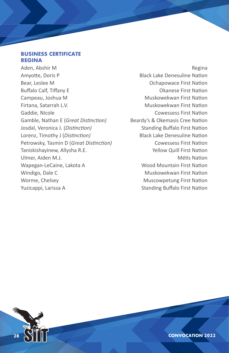#### **BUSINESS CERTIFICATE REGINA**

Aden, Abshir M Regina Amyotte, Doris P **Black Lake Denesuline Nation** Bear, Leslee M Ochapowace First Nation Buffalo Calf, Tiffany E Okanese First Nation Campeau, Joshua M **Muskowekwan First Nation** Firtana, Satarrah L.V. Muskowekwan First Nation Gaddie, Nicole Cowessess First Nation Gamble, Nathan E (*Great Distinction)* Beardy's & Okemasis Cree Nation Josdal, Veronica J. (*Distinction)* Standing Buffalo First Nation Lorenz, Timothy J (*Distinction)* Black Lake Denesuline Nation Petrowsky, Tasmin D (*Great Distinction)* Cowessess First Nation Taniskishayinew, Allysha R.E. Yellow Quill First Nation Ulmer, Aiden M.J. Matter and Metric Controller and Metric Matter Metric National Metric National Metric Nation Wapegan-LeCaine, Lakota A Wood Mountain First Nation Windigo, Dale C<br>
Muskowekwan First Nation Worme, Chelsey **Muscowpetung First Nation** Yuzicappi, Larissa A Standing Buffalo First Nation

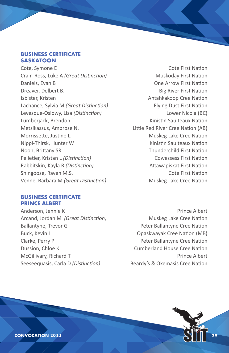#### **BUSINESS CERTIFICATE SASKATOON**

**Cote, Symone E** Cote First Nation Crain-Ross, Luke A *(Great Distinction)* Muskoday First Nation Daniels, Evan B Cone Arrow First Nation Dreaver, Delbert B. Big River First Nation Isbister, Kristen Ahtahkakoop Cree Nation Lachance, Sylvia M *(Great Distinction)* Flying Dust First Nation Levesque-Osiowy, Lisa *(Distinction)* Lower Nicola (BC) Lumberjack, Brendon T Kinistin Saulteaux Nation Metsikassus, Ambrose N. Little Red River Cree Nation (AB) Morrissette, Justine L. Muskeg Lake Cree Nation Nippi-Thirsk, Hunter W Kinistin Saulteaux Nation Noon, Brittany SR Thunderchild First Nation Pelletier, Kristan L *(Distinction)* Cowessess First Nation Rabbitskin, Kayla R *(Distinction)* Attawapiskat First Nation Shingoose, Raven M.S. Cote First Nation Venne, Barbara M *(Great Distinction)* Muskeg Lake Cree Nation

#### **BUSINESS CERTIFICATE PRINCE ALBERT**

Anderson, Jennie K Prince Albert Arcand, Jordan M *(Great Distinction)* Muskeg Lake Cree Nation Ballantyne, Trevor G **Peter Ballantyne Cree Nation** Buck, Kevin L **Buck, Kevin L Buck, Kevin L COPAS** Clarke, Perry P **Peter Ballantyne Cree Nation** Dussion, Chloe K Cumberland House Cree Nation McGillivary, Richard T **Prince Albert** Prince Albert Seeseequasis, Carla D *(Distinction)* Beardy's & Okemasis Cree Nation

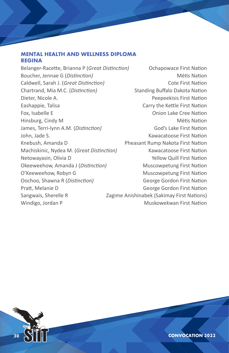#### **MENTAL HEALTH AND WELLNESS DIPLOMA REGINA**

Belanger-Racette, Brianna P (*Great Distinction*) Ochapowace First Nation Boucher, Jennae G (*Distinction*) and the control of the Métis Nation Métis Nation Caldwell, Sarah J. (*Great Distinction)* Cote First Nation Chartrand, Mia M.C. (*Distinction)* Standing Buffalo Dakota Nation Dieter, Nicole A. Peepeekisis First Nation Eashappie, Talisa Carry the Kettle First Nation Fox, Isabelle E **Fox, Isabelle E Contact Cree Nation Contact Cree Nation** Hinsburg, Cindy M **Metric Contract Contract Contract Contract Contract Contract Contract Contract Contract Contract Contract Contract Contract Contract Contract Contract Contract Contract Contract Contract Contract Contrac** James, Terri-lynn A.M. (*Distinction)* God's Lake First Nation John, Jade S. Kawacatoose First Nation Knebush, Amanda D Pheasant Rump Nakota First Nation Machiskinic, Nydea M. (*Great Distinction)* Kawacatoose First Nation Netowayasin, Olivia D Yellow Quill First Nation Okeeweehow, Amanda J (Distinction) Muscowpetung First Nation O'Keeweehow, Robyn G and Muscowpetung First Nation Oochoo, Shawna R (*Distinction)* George Gordon First Nation Pratt, Melanie D George Gordon First Nation Sangwais, Sherelle R Zagime Anishinabek (Sakimay First Nations)

Windigo, Jordan P **Muskowekwan First Nation** Muskowekwan First Nation

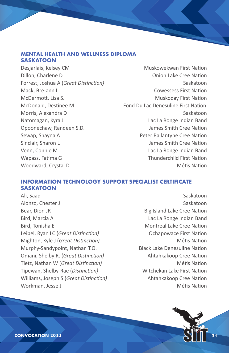#### **MENTAL HEALTH AND WELLNESS DIPLOMA SASKATOON**

Desjarlais, Kelsey CM **Muskowekwan First Nation** Dillon, Charlene D Onion Lake Cree Nation Forrest, Joshua A (*Great Distinction*) Saskatoon Mack, Bre-ann L Cowessess First Nation McDermott, Lisa S. Muskoday First Nation McDonald, Destinee M Fond Du Lac Denesuline First Nation Morris, Alexandra D Saskatoon Number of Saskatoon Saskatoon Saskatoon Saskatoon Saskatoon Saskatoon Saskatoon Natomagan, Kyra J Lac La Ronge Indian Band Opoonechaw, Randeen S.D. James Smith Cree Nation Sewap, Shayna A **Peter Ballantyne Cree Nation** Sinclair, Sharon L **James Smith Cree Nation** Venn, Connie M Lac La Ronge Indian Band Wapass, Fatima G Thunderchild First Nation Woodward, Crystal D **Métis Nation** Métis Nation

#### **INFORMATION TECHNOLOGY SUPPORT SPECIALIST CERTIFICATE SASKATOON**

Ali, Saad Saskatoon Saskatoon Saskatoon Saskatoon Saskatoon Saskatoon Saskatoon Saskatoon Alonzo, Chester J Saskatoon Saskatoon Saskatoon Saskatoon Saskatoon Saskatoon Saskatoon Saskatoon Saskatoon Sa Bear, Dion JR Big Island Lake Cree Nation Bird, Marcia A Lac La Ronge Indian Band Bird, Tonisha E **Montreal Lake Cree Nation** Leibel, Ryan LC (*Great Distinction)* Ochapowace First Nation Mighton, Kyle J (*Great Distinction*) and the Metric Metric Metric Nation Murphy-Sandypoint, Nathan T.O. Black Lake Denesuline Nation Omani, Shelby R. (*Great Distinction)* Ahtahkakoop Cree Nation Tietz, Nathan W (*Great Distinction)* Métis Nation Tipewan, Shelby-Rae (*Distinction)* Witchekan Lake First Nation Williams, Joseph S (*Great Distinction)* Ahtahkakoop Cree Nation Workman, Jesse J **Métis Nation** New Yorkman, Jesse J

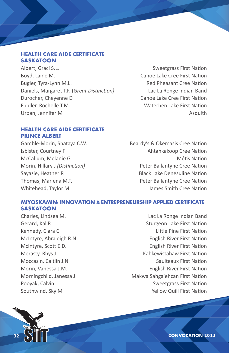#### **HEALTH CARE AIDE CERTIFICATE SASKATOON**

Albert, Graci S.L. Sweetgrass First Nation Boyd, Laine M. Canoe Lake Cree First Nation Bugler, Tyra-Lynn M.L. **Red Pheasant Cree Nation** Daniels, Margaret T.F. (*Great Distinction)* Lac La Ronge Indian Band Durocher, Cheyenne D Canoe Lake Cree First Nation Fiddler, Rochelle T.M. Waterhen Lake First Nation Urban, Jennifer M **Asquith** 

**HEALTH CARE AIDE CERTIFICATE PRINCE ALBERT**

Gamble-Morin, Shataya C.W. Beardy's & Okemasis Cree Nation Isbister, Courtney F **Ahtahkakoop Cree Nation** McCallum, Melanie G and Métis Nation Morin, Hillary J *(Distinction)* Peter Ballantyne Cree Nation Sayazie, Heather R **Black Lake Denesuline Nation** Thomas, Marlena M.T. Peter Ballantyne Cree Nation Whitehead, Taylor M James Smith Cree Nation

#### **MIYOSKAMIN: INNOVATION & ENTREPRENEURSHIP APPLIED CERTIFICATE SASKATOON**

Charles, Lindsea M. Lac La Ronge Indian Band Gerard, Kal R Sturgeon Lake First Nation Kennedy, Clara C **Rightson** Clare Controller Controller Controller Little Pine First Nation McIntyre, Abraleigh R.N. English River First Nation McIntyre, Scott E.D. English River First Nation Merasty, Rhys J. Kahkewistahaw First Nation Moccasin, Caitlin J.N. Saulteaux First Nation Morin, Vanessa J.M. English River First Nation Morningchild, Janessa J Makwa Sahgaiehcan First Nation Pooyak, Calvin Sweetgrass First Nation Sweetgrass First Nation Southwind, Sky M New Yellow Quill First Nation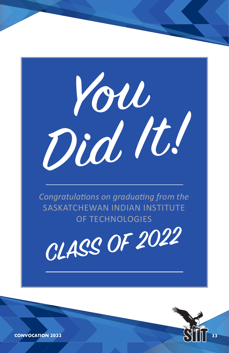You Did It! *Congratulations on graduating from the* SASKATCHEWAN INDIAN INSTITUTE OF TECHNOLOGIES **CLASS OF 2022**

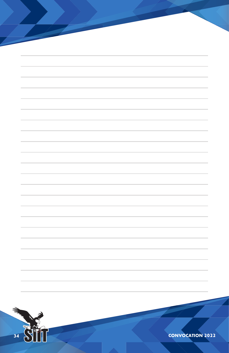